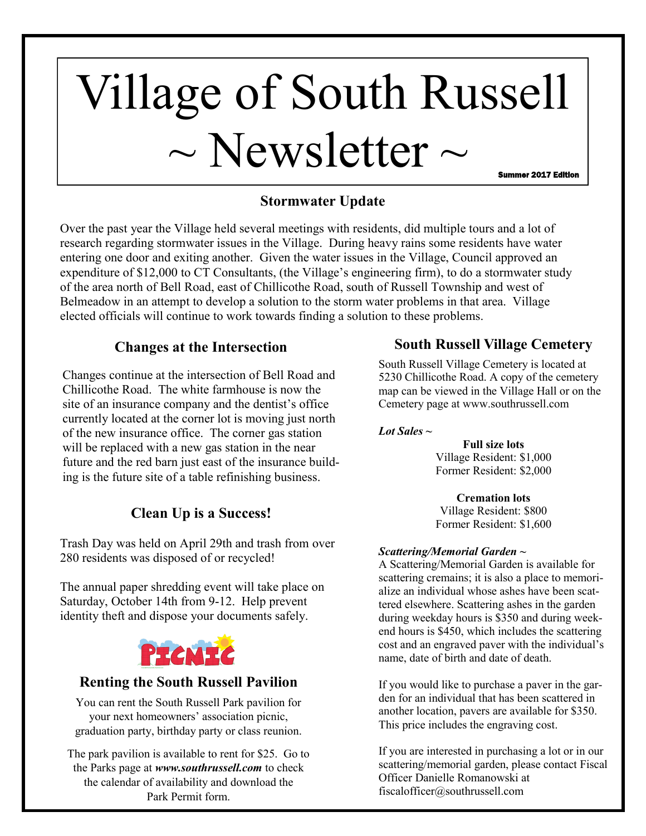# Village of South Russell  $\sim$  Newsletter  $\sim$ Summer 2017 Edition

**Stormwater Update**

Over the past year the Village held several meetings with residents, did multiple tours and a lot of research regarding stormwater issues in the Village. During heavy rains some residents have water entering one door and exiting another. Given the water issues in the Village, Council approved an expenditure of \$12,000 to CT Consultants, (the Village's engineering firm), to do a stormwater study of the area north of Bell Road, east of Chillicothe Road, south of Russell Township and west of Belmeadow in an attempt to develop a solution to the storm water problems in that area. Village elected officials will continue to work towards finding a solution to these problems.

## **Changes at the Intersection**

Changes continue at the intersection of Bell Road and Chillicothe Road. The white farmhouse is now the site of an insurance company and the dentist's office currently located at the corner lot is moving just north of the new insurance office. The corner gas station will be replaced with a new gas station in the near future and the red barn just east of the insurance building is the future site of a table refinishing business.

# **Clean Up is a Success!**

Trash Day was held on April 29th and trash from over 280 residents was disposed of or recycled!

The annual paper shredding event will take place on Saturday, October 14th from 9-12. Help prevent identity theft and dispose your documents safely.



### **Renting the South Russell Pavilion**

You can rent the South Russell Park pavilion for your next homeowners' association picnic, graduation party, birthday party or class reunion.

The park pavilion is available to rent for \$25. Go to the Parks page at *www.southrussell.com* to check the calendar of availability and download the Park Permit form.

## **South Russell Village Cemetery**

South Russell Village Cemetery is located at 5230 Chillicothe Road. A copy of the cemetery map can be viewed in the Village Hall or on the Cemetery page at www.southrussell.com

#### *Lot Sales*  $\sim$

**Full size lots**  Village Resident: \$1,000 Former Resident: \$2,000

**Cremation lots**  Village Resident: \$800 Former Resident: \$1,600

#### *Scattering/Memorial Garden* **~**

A Scattering/Memorial Garden is available for scattering cremains; it is also a place to memorialize an individual whose ashes have been scattered elsewhere. Scattering ashes in the garden during weekday hours is \$350 and during weekend hours is \$450, which includes the scattering cost and an engraved paver with the individual's name, date of birth and date of death.

If you would like to purchase a paver in the garden for an individual that has been scattered in another location, pavers are available for \$350. This price includes the engraving cost.

If you are interested in purchasing a lot or in our scattering/memorial garden, please contact Fiscal Officer Danielle Romanowski at fiscalofficer@southrussell.com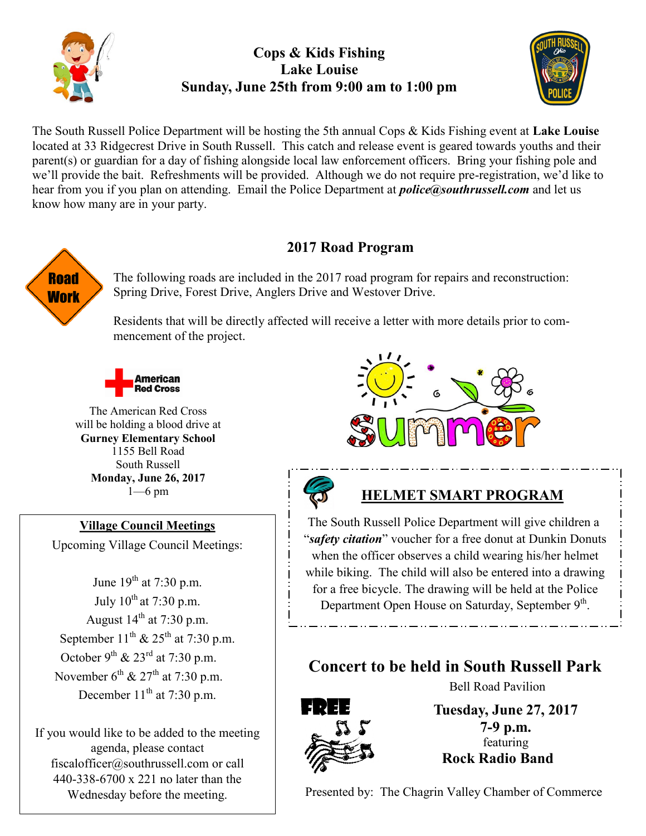

## **Cops & Kids Fishing Lake Louise Sunday, June 25th from 9:00 am to 1:00 pm**



The South Russell Police Department will be hosting the 5th annual Cops & Kids Fishing event at **Lake Louise** located at 33 Ridgecrest Drive in South Russell. This catch and release event is geared towards youths and their parent(s) or guardian for a day of fishing alongside local law enforcement officers. Bring your fishing pole and we'll provide the bait. Refreshments will be provided. Although we do not require pre-registration, we'd like to hear from you if you plan on attending. Email the Police Department at *police@southrussell.com* and let us know how many are in your party.

# **Road Work**

# 2017 Road Program

The following roads are included in the 2017 road program for repairs and reconstruction: Spring Drive, Forest Drive, Anglers Drive and Westover Drive.

Residents that will be directly affected will receive a letter with more details prior to commencement of the project.



The American Red Cross will be holding a blood drive at **Gurney Elementary School**  1155 Bell Road South Russell **Monday, June 26, 2017**  1—6 pm

**Village Council Meetings** Upcoming Village Council Meetings:

June  $19^{th}$  at 7:30 p.m. July  $10^{th}$  at 7:30 p.m. August  $14<sup>th</sup>$  at 7:30 p.m. September  $11^{th}$  &  $25^{th}$  at 7:30 p.m. October 9<sup>th</sup> & 23<sup>rd</sup> at 7:30 p.m. November  $6^{th}$  &  $27^{th}$  at 7:30 p.m. December  $11<sup>th</sup>$  at 7:30 p.m.

If you would like to be added to the meeting agenda, please contact fiscalofficer@southrussell.com or call 440-338-6700 x 221 no later than the Wednesday before the meeting.





#### **HELMET SMART PROGRAM**

The South Russell Police Department will give children a "*safety citation*" voucher for a free donut at Dunkin Donuts when the officer observes a child wearing his/her helmet while biking. The child will also be entered into a drawing for a free bicycle. The drawing will be held at the Police Department Open House on Saturday, September 9<sup>th</sup>.

# **Concert to be held in South Russell Park**



**Tuesday, June 27, 2017 7-9 p.m.** featuring  **Rock Radio Band** 

Bell Road Pavilion

Presented by: The Chagrin Valley Chamber of Commerce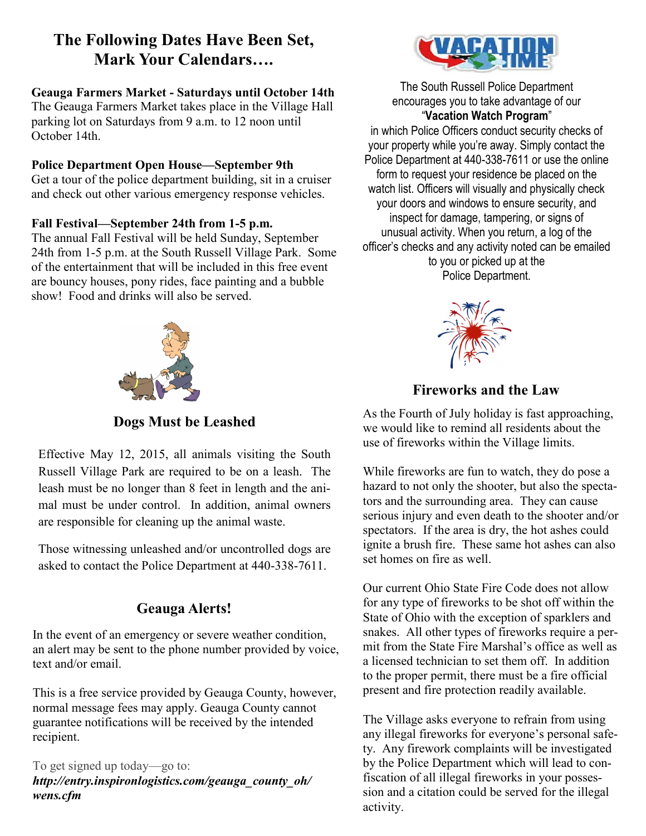# **The Following Dates Have Been Set, Mark Your Calendars….**

#### **Geauga Farmers Market - Saturdays until October 14th**

The Geauga Farmers Market takes place in the Village Hall parking lot on Saturdays from 9 a.m. to 12 noon until October 14th.

#### **Police Department Open House—September 9th**

Get a tour of the police department building, sit in a cruiser and check out other various emergency response vehicles.

#### **Fall Festival—September 24th from 1-5 p.m.**

The annual Fall Festival will be held Sunday, September 24th from 1-5 p.m. at the South Russell Village Park. Some of the entertainment that will be included in this free event are bouncy houses, pony rides, face painting and a bubble show! Food and drinks will also be served.



**Dogs Must be Leashed** 

Effective May 12, 2015, all animals visiting the South Russell Village Park are required to be on a leash. The leash must be no longer than 8 feet in length and the animal must be under control. In addition, animal owners are responsible for cleaning up the animal waste.

Those witnessing unleashed and/or uncontrolled dogs are asked to contact the Police Department at 440-338-7611.

# **Geauga Alerts!**

In the event of an emergency or severe weather condition, an alert may be sent to the phone number provided by voice, text and/or email.

This is a free service provided by Geauga County, however, normal message fees may apply. Geauga County cannot guarantee notifications will be received by the intended recipient.

To get signed up today—go to: *http://entry.inspironlogistics.com/geauga\_county\_oh/ wens.cfm*



The South Russell Police Department encourages you to take advantage of our "**Vacation Watch Program**"

in which Police Officers conduct security checks of your property while you're away. Simply contact the Police Department at 440-338-7611 or use the online form to request your residence be placed on the watch list. Officers will visually and physically check your doors and windows to ensure security, and inspect for damage, tampering, or signs of unusual activity. When you return, a log of the officer's checks and any activity noted can be emailed to you or picked up at the Police Department.



# **Fireworks and the Law**

As the Fourth of July holiday is fast approaching, we would like to remind all residents about the use of fireworks within the Village limits.

While fireworks are fun to watch, they do pose a hazard to not only the shooter, but also the spectators and the surrounding area. They can cause serious injury and even death to the shooter and/or spectators. If the area is dry, the hot ashes could ignite a brush fire. These same hot ashes can also set homes on fire as well.

Our current Ohio State Fire Code does not allow for any type of fireworks to be shot off within the State of Ohio with the exception of sparklers and snakes. All other types of fireworks require a permit from the State Fire Marshal's office as well as a licensed technician to set them off. In addition to the proper permit, there must be a fire official present and fire protection readily available.

The Village asks everyone to refrain from using any illegal fireworks for everyone's personal safety. Any firework complaints will be investigated by the Police Department which will lead to confiscation of all illegal fireworks in your possession and a citation could be served for the illegal activity.